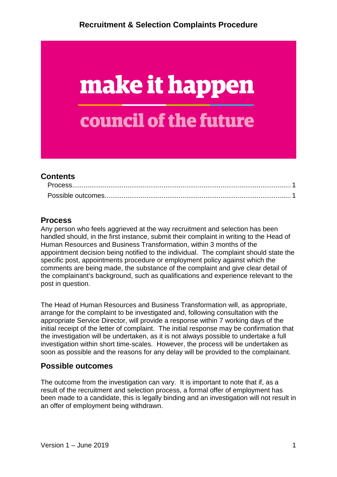

## **Contents**

## <span id="page-0-0"></span>**Process**

Any person who feels aggrieved at the way recruitment and selection has been handled should, in the first instance, submit their complaint in writing to the Head of Human Resources and Business Transformation, within 3 months of the appointment decision being notified to the individual. The complaint should state the specific post, appointments procedure or employment policy against which the comments are being made, the substance of the complaint and give clear detail of the complainant's background, such as qualifications and experience relevant to the post in question.

The Head of Human Resources and Business Transformation will, as appropriate, arrange for the complaint to be investigated and, following consultation with the appropriate Service Director, will provide a response within 7 working days of the initial receipt of the letter of complaint. The initial response may be confirmation that the investigation will be undertaken, as it is not always possible to undertake a full investigation within short time-scales. However, the process will be undertaken as soon as possible and the reasons for any delay will be provided to the complainant.

## <span id="page-0-1"></span>**Possible outcomes**

The outcome from the investigation can vary. It is important to note that if, as a result of the recruitment and selection process, a formal offer of employment has been made to a candidate, this is legally binding and an investigation will not result in an offer of employment being withdrawn.